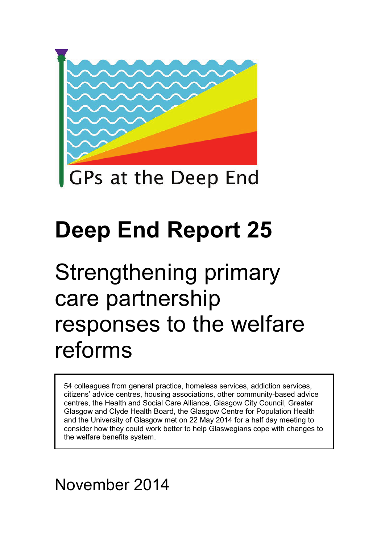

# **Deep End Report 25**

# Strengthening primary care partnership responses to the welfare reforms

54 colleagues from general practice, homeless services, addiction services, citizens' advice centres, housing associations, other community-based advice centres, the Health and Social Care Alliance, Glasgow City Council, Greater Glasgow and Clyde Health Board, the Glasgow Centre for Population Health and the University of Glasgow met on 22 May 2014 for a half day meeting to consider how they could work better to help Glaswegians cope with changes to the welfare benefits system.

# November 2014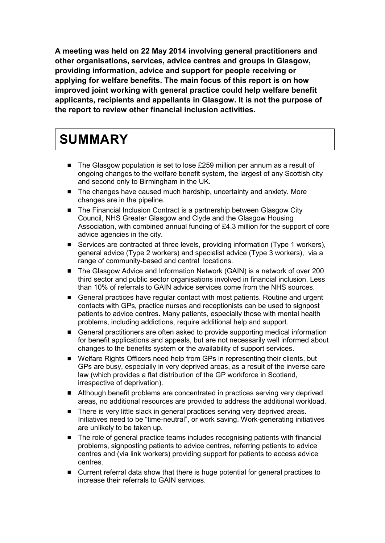**A meeting was held on 22 May 2014 involving general practitioners and other organisations, services, advice centres and groups in Glasgow, providing information, advice and support for people receiving or applying for welfare benefits. The main focus of this report is on how improved joint working with general practice could help welfare benefit applicants, recipients and appellants in Glasgow. It is not the purpose of the report to review other financial inclusion activities.**

# **SUMMARY**

- The Glasgow population is set to lose £259 million per annum as a result of ongoing changes to the welfare benefit system, the largest of any Scottish city and second only to Birmingham in the UK.
- The changes have caused much hardship, uncertainty and anxiety. More changes are in the pipeline.
- The Financial Inclusion Contract is a partnership between Glasgow City Council, NHS Greater Glasgow and Clyde and the Glasgow Housing Association, with combined annual funding of £4.3 million for the support of core advice agencies in the city.
- Services are contracted at three levels, providing information (Type 1 workers), general advice (Type 2 workers) and specialist advice (Type 3 workers), via a range of community-based and central locations.
- The Glasgow Advice and Information Network (GAIN) is a network of over 200 third sector and public sector organisations involved in financial inclusion. Less than 10% of referrals to GAIN advice services come from the NHS sources.
- General practices have regular contact with most patients. Routine and urgent contacts with GPs, practice nurses and receptionists can be used to signpost patients to advice centres. Many patients, especially those with mental health problems, including addictions, require additional help and support.
- General practitioners are often asked to provide supporting medical information for benefit applications and appeals, but are not necessarily well informed about changes to the benefits system or the availability of support services.
- Welfare Rights Officers need help from GPs in representing their clients, but GPs are busy, especially in very deprived areas, as a result of the inverse care law (which provides a flat distribution of the GP workforce in Scotland, irrespective of deprivation).
- Although benefit problems are concentrated in practices serving very deprived areas, no additional resources are provided to address the additional workload.
- There is very little slack in general practices serving very deprived areas. Initiatives need to be "time-neutral", or work saving. Work-generating initiatives are unlikely to be taken up.
- The role of general practice teams includes recognising patients with financial problems, signposting patients to advice centres, referring patients to advice centres and (via link workers) providing support for patients to access advice centres.
- Current referral data show that there is huge potential for general practices to increase their referrals to GAIN services.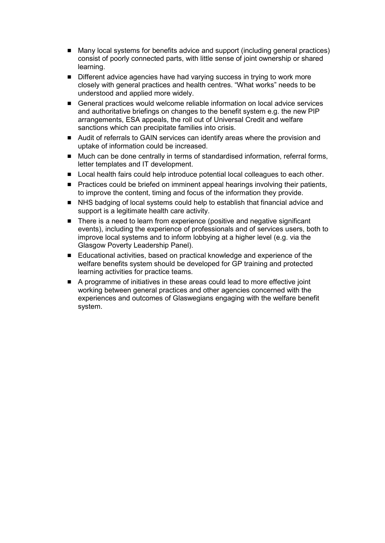- Many local systems for benefits advice and support (including general practices) consist of poorly connected parts, with little sense of joint ownership or shared learning.
- **Different advice agencies have had varying success in trying to work more** closely with general practices and health centres. "What works" needs to be understood and applied more widely.
- General practices would welcome reliable information on local advice services and authoritative briefings on changes to the benefit system e.g. the new PIP arrangements, ESA appeals, the roll out of Universal Credit and welfare sanctions which can precipitate families into crisis.
- Audit of referrals to GAIN services can identify areas where the provision and uptake of information could be increased.
- Much can be done centrally in terms of standardised information, referral forms, letter templates and IT development.
- **Local health fairs could help introduce potential local colleagues to each other.**
- **Practices could be briefed on imminent appeal hearings involving their patients,** to improve the content, timing and focus of the information they provide.
- NHS badging of local systems could help to establish that financial advice and support is a legitimate health care activity.
- There is a need to learn from experience (positive and negative significant events), including the experience of professionals and of services users, both to improve local systems and to inform lobbying at a higher level (e.g. via the Glasgow Poverty Leadership Panel).
- Educational activities, based on practical knowledge and experience of the welfare benefits system should be developed for GP training and protected learning activities for practice teams.
- A programme of initiatives in these areas could lead to more effective joint working between general practices and other agencies concerned with the experiences and outcomes of Glaswegians engaging with the welfare benefit system.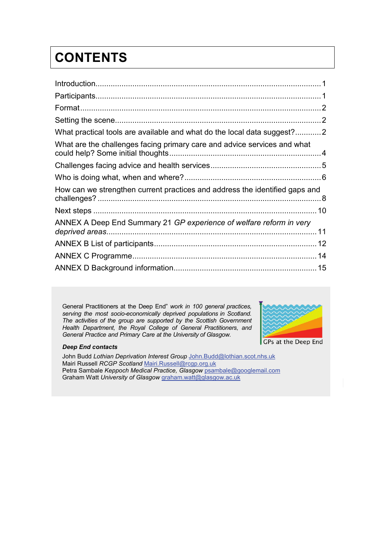# **CONTENTS**

| What practical tools are available and what do the local data suggest?2     |
|-----------------------------------------------------------------------------|
| What are the challenges facing primary care and advice services and what    |
|                                                                             |
|                                                                             |
| How can we strengthen current practices and address the identified gaps and |
|                                                                             |
| ANNEX A Deep End Summary 21 GP experience of welfare reform in very         |
|                                                                             |
|                                                                             |
|                                                                             |

General Practitioners at the Deep End" *work in 100 general practices, serving the most socio-economically deprived populations in Scotland. The activities of the group are supported by the Scottish Government Health Department, the Royal College of General Practitioners, and General Practice and Primary Care at the University of Glasgow.* 



#### *Deep End contacts*

John Budd *Lothian Deprivation Interest Group* [John.Budd@lothian.scot.nhs.uk](mailto:John.Budd@lothian.scot.nhs.uk) Mairi Russell *RCGP Scotland* [Mairi.Russell@rcgp.org.uk](mailto:Mairi.Russell@rcgp.org.uk)  Petra Sambale *Keppoch Medical Practice, Glasgow* [psambale@googlemail.com](mailto:psambale@googlemail.com) Graham Watt *University of Glasgow* [graham.watt@glasgow.ac.uk](mailto:gcmw1j@clinmed.gla.ac.uk)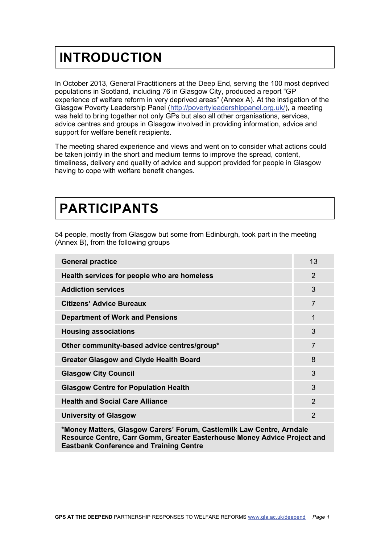# <span id="page-4-0"></span>**INTRODUCTION**

In October 2013, General Practitioners at the Deep End, serving the 100 most deprived populations in Scotland, including 76 in Glasgow City, produced a report "GP experience of welfare reform in very deprived areas" (Annex A). At the instigation of the Glasgow Poverty Leadership Panel [\(http://povertyleadershippanel.org.uk/\)](http://povertyleadershippanel.org.uk/), a meeting was held to bring together not only GPs but also all other organisations, services, advice centres and groups in Glasgow involved in providing information, advice and support for welfare benefit recipients.

The meeting shared experience and views and went on to consider what actions could be taken jointly in the short and medium terms to improve the spread, content, timeliness, delivery and quality of advice and support provided for people in Glasgow having to cope with welfare benefit changes.

# <span id="page-4-1"></span>**PARTICIPANTS**

54 people, mostly from Glasgow but some from Edinburgh, took part in the meeting (Annex B), from the following groups

| <b>General practice</b>                       | 13             |
|-----------------------------------------------|----------------|
| Health services for people who are homeless   | 2              |
| <b>Addiction services</b>                     | 3              |
| <b>Citizens' Advice Bureaux</b>               | 7              |
| <b>Department of Work and Pensions</b>        | 1              |
| <b>Housing associations</b>                   | 3              |
| Other community-based advice centres/group*   | $\overline{7}$ |
| <b>Greater Glasgow and Clyde Health Board</b> | 8              |
| <b>Glasgow City Council</b>                   | 3              |
| <b>Glasgow Centre for Population Health</b>   | 3              |
| <b>Health and Social Care Alliance</b>        | $\mathcal{P}$  |
| <b>University of Glasgow</b>                  | 2              |

**\*Money Matters, Glasgow Carers' Forum, Castlemilk Law Centre, Arndale Resource Centre, Carr Gomm, Greater Easterhouse Money Advice Project and Eastbank Conference and Training Centre**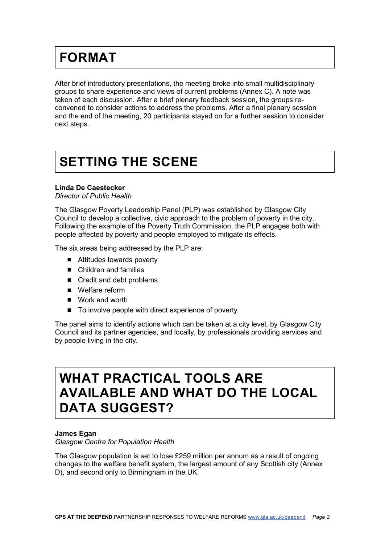# <span id="page-5-0"></span>**FORMAT**

After brief introductory presentations, the meeting broke into small multidisciplinary groups to share experience and views of current problems (Annex C). A note was taken of each discussion. After a brief plenary feedback session, the groups reconvened to consider actions to address the problems. After a final plenary session and the end of the meeting, 20 participants stayed on for a further session to consider next steps.

# <span id="page-5-1"></span>**SETTING THE SCENE**

#### **Linda De Caestecker**

*Director of Public Health*

The Glasgow Poverty Leadership Panel (PLP) was established by Glasgow City Council to develop a collective, civic approach to the problem of poverty in the city. Following the example of the Poverty Truth Commission, the PLP engages both with people affected by poverty and people employed to mitigate its effects.

The six areas being addressed by the PLP are:

- Attitudes towards poverty
- Children and families
- Credit and debt problems
- **Nelfare reform**
- Work and worth
- To involve people with direct experience of poverty

The panel aims to identify actions which can be taken at a city level, by Glasgow City Council and its partner agencies, and locally, by professionals providing services and by people living in the city.

### <span id="page-5-2"></span>**WHAT PRACTICAL TOOLS ARE AVAILABLE AND WHAT DO THE LOCAL DATA SUGGEST?**

#### **James Egan**

*Glasgow Centre for Population Health*

The Glasgow population is set to lose £259 million per annum as a result of ongoing changes to the welfare benefit system, the largest amount of any Scottish city (Annex D), and second only to Birmingham in the UK.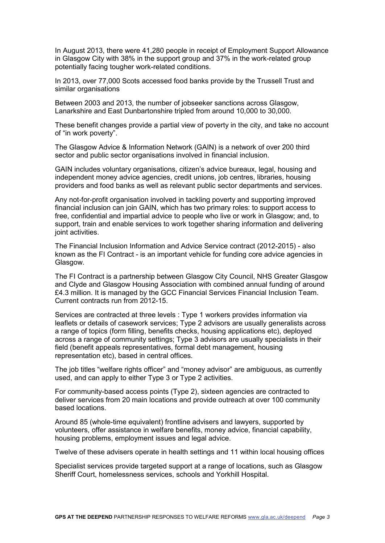In August 2013, there were 41,280 people in receipt of Employment Support Allowance in Glasgow City with 38% in the support group and 37% in the work-related group potentially facing tougher work-related conditions.

In 2013, over 77,000 Scots accessed food banks provide by the Trussell Trust and similar organisations

Between 2003 and 2013, the number of jobseeker sanctions across Glasgow, Lanarkshire and East Dunbartonshire tripled from around 10,000 to 30,000.

These benefit changes provide a partial view of poverty in the city, and take no account of "in work poverty".

The Glasgow Advice & Information Network (GAIN) is a network of over 200 third sector and public sector organisations involved in financial inclusion.

GAIN includes voluntary organisations, citizen's advice bureaux, legal, housing and independent money advice agencies, credit unions, job centres, libraries, housing providers and food banks as well as relevant public sector departments and services.

Any not-for-profit organisation involved in tackling poverty and supporting improved financial inclusion can join GAIN, which has two primary roles: to support access to free, confidential and impartial advice to people who live or work in Glasgow; and, to support, train and enable services to work together sharing information and delivering joint activities.

The Financial Inclusion Information and Advice Service contract (2012-2015) - also known as the FI Contract - is an important vehicle for funding core advice agencies in Glasgow.

The FI Contract is a partnership between Glasgow City Council, NHS Greater Glasgow and Clyde and Glasgow Housing Association with combined annual funding of around £4.3 million. It is managed by the GCC Financial Services Financial Inclusion Team. Current contracts run from 2012-15.

Services are contracted at three levels : Type 1 workers provides information via leaflets or details of casework services; Type 2 advisors are usually generalists across a range of topics (form filling, benefits checks, housing applications etc), deployed across a range of community settings; Type 3 advisors are usually specialists in their field (benefit appeals representatives, formal debt management, housing representation etc), based in central offices.

The job titles "welfare rights officer" and "money advisor" are ambiguous, as currently used, and can apply to either Type 3 or Type 2 activities.

For community-based access points (Type 2), sixteen agencies are contracted to deliver services from 20 main locations and provide outreach at over 100 community based locations.

Around 85 (whole-time equivalent) frontline advisers and lawyers, supported by volunteers, offer assistance in welfare benefits, money advice, financial capability, housing problems, employment issues and legal advice.

Twelve of these advisers operate in health settings and 11 within local housing offices

Specialist services provide targeted support at a range of locations, such as Glasgow Sheriff Court, homelessness services, schools and Yorkhill Hospital.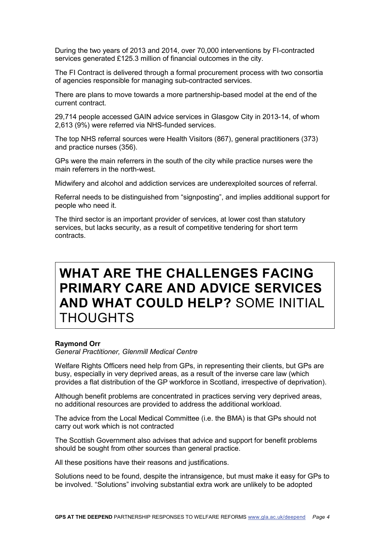During the two years of 2013 and 2014, over 70,000 interventions by FI-contracted services generated £125.3 million of financial outcomes in the city.

The FI Contract is delivered through a formal procurement process with two consortia of agencies responsible for managing sub-contracted services.

There are plans to move towards a more partnership-based model at the end of the current contract.

29,714 people accessed GAIN advice services in Glasgow City in 2013-14, of whom 2,613 (9%) were referred via NHS-funded services.

The top NHS referral sources were Health Visitors (867), general practitioners (373) and practice nurses (356).

GPs were the main referrers in the south of the city while practice nurses were the main referrers in the north-west.

Midwifery and alcohol and addiction services are underexploited sources of referral.

Referral needs to be distinguished from "signposting", and implies additional support for people who need it.

The third sector is an important provider of services, at lower cost than statutory services, but lacks security, as a result of competitive tendering for short term contracts.

### <span id="page-7-0"></span>**WHAT ARE THE CHALLENGES FACING PRIMARY CARE AND ADVICE SERVICES AND WHAT COULD HELP?** SOME INITIAL THOUGHTS

#### **Raymond Orr**

*General Practitioner, Glenmill Medical Centre*

Welfare Rights Officers need help from GPs, in representing their clients, but GPs are busy, especially in very deprived areas, as a result of the inverse care law (which provides a flat distribution of the GP workforce in Scotland, irrespective of deprivation).

Although benefit problems are concentrated in practices serving very deprived areas, no additional resources are provided to address the additional workload.

The advice from the Local Medical Committee (i.e. the BMA) is that GPs should not carry out work which is not contracted

The Scottish Government also advises that advice and support for benefit problems should be sought from other sources than general practice.

All these positions have their reasons and justifications.

Solutions need to be found, despite the intransigence, but must make it easy for GPs to be involved. "Solutions" involving substantial extra work are unlikely to be adopted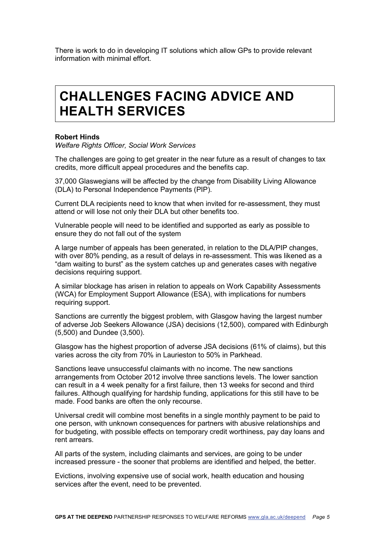There is work to do in developing IT solutions which allow GPs to provide relevant information with minimal effort.

### <span id="page-8-0"></span>**CHALLENGES FACING ADVICE AND HEALTH SERVICES**

#### **Robert Hinds**

*Welfare Rights Officer, Social Work Services*

The challenges are going to get greater in the near future as a result of changes to tax credits, more difficult appeal procedures and the benefits cap.

37,000 Glaswegians will be affected by the change from Disability Living Allowance (DLA) to Personal Independence Payments (PIP).

Current DLA recipients need to know that when invited for re-assessment, they must attend or will lose not only their DLA but other benefits too.

Vulnerable people will need to be identified and supported as early as possible to ensure they do not fall out of the system

A large number of appeals has been generated, in relation to the DLA/PIP changes, with over 80% pending, as a result of delays in re-assessment. This was likened as a "dam waiting to burst" as the system catches up and generates cases with negative decisions requiring support.

A similar blockage has arisen in relation to appeals on Work Capability Assessments (WCA) for Employment Support Allowance (ESA), with implications for numbers requiring support.

Sanctions are currently the biggest problem, with Glasgow having the largest number of adverse Job Seekers Allowance (JSA) decisions (12,500), compared with Edinburgh (5,500) and Dundee (3,500).

Glasgow has the highest proportion of adverse JSA decisions (61% of claims), but this varies across the city from 70% in Laurieston to 50% in Parkhead.

Sanctions leave unsuccessful claimants with no income. The new sanctions arrangements from October 2012 involve three sanctions levels. The lower sanction can result in a 4 week penalty for a first failure, then 13 weeks for second and third failures. Although qualifying for hardship funding, applications for this still have to be made. Food banks are often the only recourse.

Universal credit will combine most benefits in a single monthly payment to be paid to one person, with unknown consequences for partners with abusive relationships and for budgeting, with possible effects on temporary credit worthiness, pay day loans and rent arrears.

All parts of the system, including claimants and services, are going to be under increased pressure - the sooner that problems are identified and helped, the better.

Evictions, involving expensive use of social work, health education and housing services after the event, need to be prevented.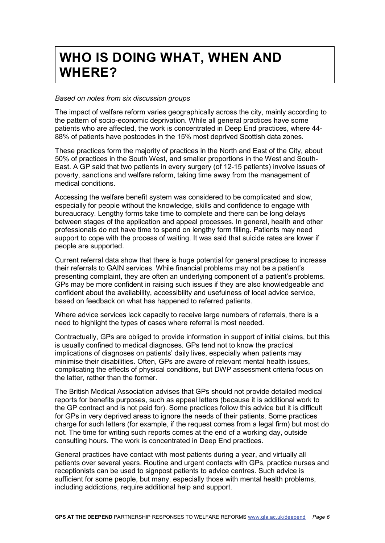# <span id="page-9-0"></span>**WHO IS DOING WHAT, WHEN AND WHERE?**

#### *Based on notes from six discussion groups*

The impact of welfare reform varies geographically across the city, mainly according to the pattern of socio-economic deprivation. While all general practices have some patients who are affected, the work is concentrated in Deep End practices, where 44- 88% of patients have postcodes in the 15% most deprived Scottish data zones.

These practices form the majority of practices in the North and East of the City, about 50% of practices in the South West, and smaller proportions in the West and South-East. A GP said that two patients in every surgery (of 12-15 patients) involve issues of poverty, sanctions and welfare reform, taking time away from the management of medical conditions.

Accessing the welfare benefit system was considered to be complicated and slow, especially for people without the knowledge, skills and confidence to engage with bureaucracy. Lengthy forms take time to complete and there can be long delays between stages of the application and appeal processes. In general, health and other professionals do not have time to spend on lengthy form filling. Patients may need support to cope with the process of waiting. It was said that suicide rates are lower if people are supported.

Current referral data show that there is huge potential for general practices to increase their referrals to GAIN services. While financial problems may not be a patient's presenting complaint, they are often an underlying component of a patient's problems. GPs may be more confident in raising such issues if they are also knowledgeable and confident about the availability, accessibility and usefulness of local advice service, based on feedback on what has happened to referred patients.

Where advice services lack capacity to receive large numbers of referrals, there is a need to highlight the types of cases where referral is most needed.

Contractually, GPs are obliged to provide information in support of initial claims, but this is usually confined to medical diagnoses. GPs tend not to know the practical implications of diagnoses on patients' daily lives, especially when patients may minimise their disabilities. Often, GPs are aware of relevant mental health issues, complicating the effects of physical conditions, but DWP assessment criteria focus on the latter, rather than the former.

The British Medical Association advises that GPs should not provide detailed medical reports for benefits purposes, such as appeal letters (because it is additional work to the GP contract and is not paid for). Some practices follow this advice but it is difficult for GPs in very deprived areas to ignore the needs of their patients. Some practices charge for such letters (for example, if the request comes from a legal firm) but most do not. The time for writing such reports comes at the end of a working day, outside consulting hours. The work is concentrated in Deep End practices.

General practices have contact with most patients during a year, and virtually all patients over several years. Routine and urgent contacts with GPs, practice nurses and receptionists can be used to signpost patients to advice centres. Such advice is sufficient for some people, but many, especially those with mental health problems, including addictions, require additional help and support.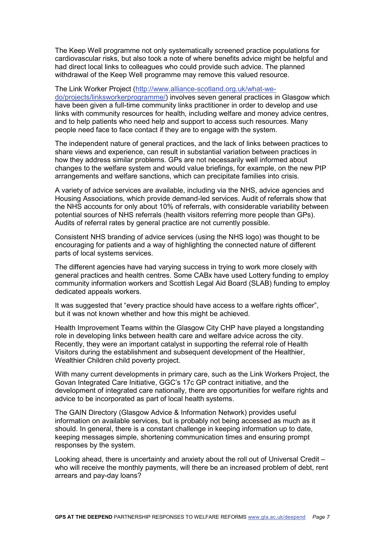The Keep Well programme not only systematically screened practice populations for cardiovascular risks, but also took a note of where benefits advice might be helpful and had direct local links to colleagues who could provide such advice. The planned withdrawal of the Keep Well programme may remove this valued resource.

The Link Worker Project [\(http://www.alliance-scotland.org.uk/what-we-](http://www.alliance-scotland.org.uk/what-we-do/projects/linksworkerprogramme/)

[do/projects/linksworkerprogramme/\)](http://www.alliance-scotland.org.uk/what-we-do/projects/linksworkerprogramme/) involves seven general practices in Glasgow which have been given a full-time community links practitioner in order to develop and use links with community resources for health, including welfare and money advice centres, and to help patients who need help and support to access such resources. Many people need face to face contact if they are to engage with the system.

The independent nature of general practices, and the lack of links between practices to share views and experience, can result in substantial variation between practices in how they address similar problems. GPs are not necessarily well informed about changes to the welfare system and would value briefings, for example, on the new PIP arrangements and welfare sanctions, which can precipitate families into crisis.

A variety of advice services are available, including via the NHS, advice agencies and Housing Associations, which provide demand-led services. Audit of referrals show that the NHS accounts for only about 10% of referrals, with considerable variability between potential sources of NHS referrals (health visitors referring more people than GPs). Audits of referral rates by general practice are not currently possible.

Consistent NHS branding of advice services (using the NHS logo) was thought to be encouraging for patients and a way of highlighting the connected nature of different parts of local systems services.

The different agencies have had varying success in trying to work more closely with general practices and health centres. Some CABx have used Lottery funding to employ community information workers and Scottish Legal Aid Board (SLAB) funding to employ dedicated appeals workers.

It was suggested that "every practice should have access to a welfare rights officer", but it was not known whether and how this might be achieved.

Health Improvement Teams within the Glasgow City CHP have played a longstanding role in developing links between health care and welfare advice across the city. Recently, they were an important catalyst in supporting the referral role of Health Visitors during the establishment and subsequent development of the Healthier, Wealthier Children child poverty project.

With many current developments in primary care, such as the Link Workers Project, the Govan Integrated Care Initiative, GGC's 17c GP contract initiative, and the development of integrated care nationally, there are opportunities for welfare rights and advice to be incorporated as part of local health systems.

The GAIN Directory (Glasgow Advice & Information Network) provides useful information on available services, but is probably not being accessed as much as it should. In general, there is a constant challenge in keeping information up to date, keeping messages simple, shortening communication times and ensuring prompt responses by the system.

Looking ahead, there is uncertainty and anxiety about the roll out of Universal Credit – who will receive the monthly payments, will there be an increased problem of debt, rent arrears and pay-day loans?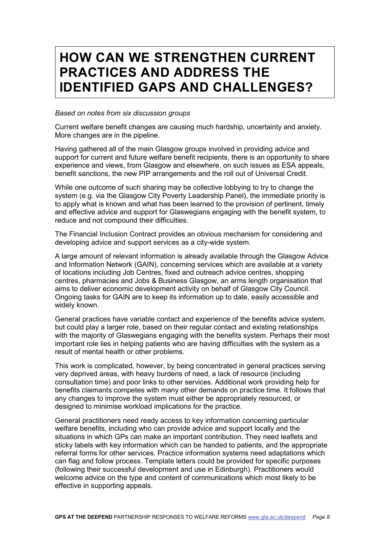### <span id="page-11-0"></span>**HOW CAN WE STRENGTHEN CURRENT PRACTICES AND ADDRESS THE IDENTIFIED GAPS AND CHALLENGES?**

#### *Based on notes from six discussion groups*

Current welfare benefit changes are causing much hardship, uncertainty and anxiety. More changes are in the pipeline.

Having gathered all of the main Glasgow groups involved in providing advice and support for current and future welfare benefit recipients, there is an opportunity to share experience and views, from Glasgow and elsewhere, on such issues as ESA appeals, benefit sanctions, the new PIP arrangements and the roll out of Universal Credit.

While one outcome of such sharing may be collective lobbying to try to change the system (e.g. via the Glasgow City Poverty Leadership Panel), the immediate priority is to apply what is known and what has been learned to the provision of pertinent, timely and effective advice and support for Glaswegians engaging with the benefit system, to reduce and not compound their difficulties.

The Financial Inclusion Contract provides an obvious mechanism for considering and developing advice and support services as a city-wide system.

A large amount of relevant information is already available through the Glasgow Advice and Information Network (GAIN), concerning services which are available at a variety of locations including Job Centres, fixed and outreach advice centres, shopping centres, pharmacies and Jobs & Business Glasgow, an arms length organisation that aims to deliver economic development activity on behalf of Glasgow City Council. Ongoing tasks for GAIN are to keep its information up to date, easily accessible and widely known.

General practices have variable contact and experience of the benefits advice system, but could play a larger role, based on their regular contact and existing relationships with the majority of Glaswegians engaging with the benefits system. Perhaps their most important role lies in helping patients who are having difficulties with the system as a result of mental health or other problems.

This work is complicated, however, by being concentrated in general practices serving very deprived areas, with heavy burdens of need, a lack of resource (including consultation time) and poor links to other services. Additional work providing help for benefits claimants competes with many other demands on practice time. It follows that any changes to improve the system must either be appropriately resourced, or designed to minimise workload implications for the practice.

General practitioners need ready access to key information concerning particular welfare benefits, including who can provide advice and support locally and the situations in which GPs can make an important contribution. They need leaflets and sticky labels with key information which can be handed to patients, and the appropriate referral forms for other services. Practice information systems need adaptations which can flag and follow process. Template letters could be provided for specific purposes (following their successful development and use in Edinburgh). Practitioners would welcome advice on the type and content of communications which most likely to be effective in supporting appeals.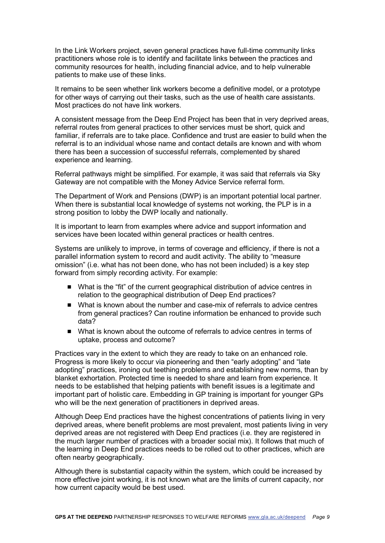In the Link Workers project, seven general practices have full-time community links practitioners whose role is to identify and facilitate links between the practices and community resources for health, including financial advice, and to help vulnerable patients to make use of these links.

It remains to be seen whether link workers become a definitive model, or a prototype for other ways of carrying out their tasks, such as the use of health care assistants. Most practices do not have link workers.

A consistent message from the Deep End Project has been that in very deprived areas, referral routes from general practices to other services must be short, quick and familiar, if referrals are to take place. Confidence and trust are easier to build when the referral is to an individual whose name and contact details are known and with whom there has been a succession of successful referrals, complemented by shared experience and learning.

Referral pathways might be simplified. For example, it was said that referrals via Sky Gateway are not compatible with the Money Advice Service referral form.

The Department of Work and Pensions (DWP) is an important potential local partner. When there is substantial local knowledge of systems not working, the PLP is in a strong position to lobby the DWP locally and nationally.

It is important to learn from examples where advice and support information and services have been located within general practices or health centres.

Systems are unlikely to improve, in terms of coverage and efficiency, if there is not a parallel information system to record and audit activity. The ability to "measure omission" (i.e. what has not been done, who has not been included) is a key step forward from simply recording activity. For example:

- What is the "fit" of the current geographical distribution of advice centres in relation to the geographical distribution of Deep End practices?
- What is known about the number and case-mix of referrals to advice centres from general practices? Can routine information be enhanced to provide such data?
- What is known about the outcome of referrals to advice centres in terms of uptake, process and outcome?

Practices vary in the extent to which they are ready to take on an enhanced role. Progress is more likely to occur via pioneering and then "early adopting" and "late adopting" practices, ironing out teething problems and establishing new norms, than by blanket exhortation. Protected time is needed to share and learn from experience. It needs to be established that helping patients with benefit issues is a legitimate and important part of holistic care. Embedding in GP training is important for younger GPs who will be the next generation of practitioners in deprived areas.

Although Deep End practices have the highest concentrations of patients living in very deprived areas, where benefit problems are most prevalent, most patients living in very deprived areas are not registered with Deep End practices (i.e. they are registered in the much larger number of practices with a broader social mix). It follows that much of the learning in Deep End practices needs to be rolled out to other practices, which are often nearby geographically.

Although there is substantial capacity within the system, which could be increased by more effective joint working, it is not known what are the limits of current capacity, nor how current capacity would be best used.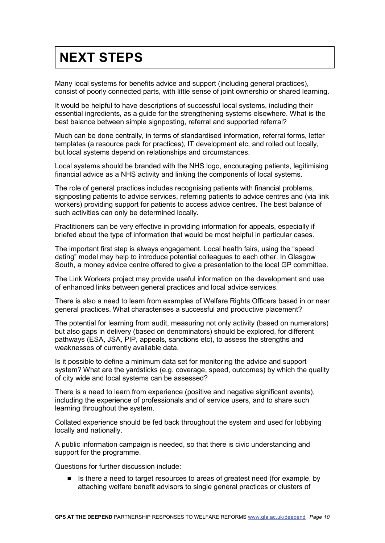# <span id="page-13-0"></span>**NEXT STEPS**

Many local systems for benefits advice and support (including general practices), consist of poorly connected parts, with little sense of joint ownership or shared learning.

It would be helpful to have descriptions of successful local systems, including their essential ingredients, as a guide for the strengthening systems elsewhere. What is the best balance between simple signposting, referral and supported referral?

Much can be done centrally, in terms of standardised information, referral forms, letter templates (a resource pack for practices), IT development etc, and rolled out locally, but local systems depend on relationships and circumstances.

Local systems should be branded with the NHS logo, encouraging patients, legitimising financial advice as a NHS activity and linking the components of local systems.

The role of general practices includes recognising patients with financial problems, signposting patients to advice services, referring patients to advice centres and (via link workers) providing support for patients to access advice centres. The best balance of such activities can only be determined locally.

Practitioners can be very effective in providing information for appeals, especially if briefed about the type of information that would be most helpful in particular cases.

The important first step is always engagement. Local health fairs, using the "speed dating" model may help to introduce potential colleagues to each other. In Glasgow South, a money advice centre offered to give a presentation to the local GP committee.

The Link Workers project may provide useful information on the development and use of enhanced links between general practices and local advice services.

There is also a need to learn from examples of Welfare Rights Officers based in or near general practices. What characterises a successful and productive placement?

The potential for learning from audit, measuring not only activity (based on numerators) but also gaps in delivery (based on denominators) should be explored, for different pathways (ESA, JSA, PIP, appeals, sanctions etc), to assess the strengths and weaknesses of currently available data.

Is it possible to define a minimum data set for monitoring the advice and support system? What are the yardsticks (e.g. coverage, speed, outcomes) by which the quality of city wide and local systems can be assessed?

There is a need to learn from experience (positive and negative significant events), including the experience of professionals and of service users, and to share such learning throughout the system.

Collated experience should be fed back throughout the system and used for lobbying locally and nationally.

A public information campaign is needed, so that there is civic understanding and support for the programme.

Questions for further discussion include:

■ Is there a need to target resources to areas of greatest need (for example, by attaching welfare benefit advisors to single general practices or clusters of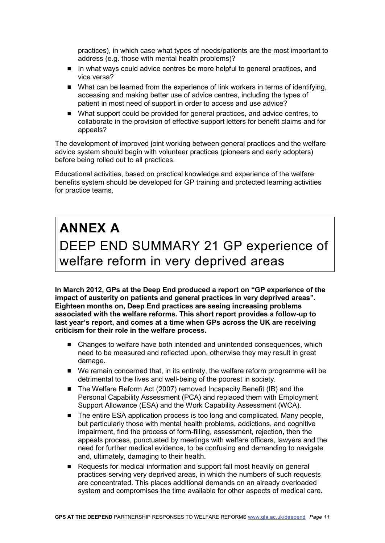practices), in which case what types of needs/patients are the most important to address (e.g. those with mental health problems)?

- In what ways could advice centres be more helpful to general practices, and vice versa?
- What can be learned from the experience of link workers in terms of identifying, accessing and making better use of advice centres, including the types of patient in most need of support in order to access and use advice?
- What support could be provided for general practices, and advice centres, to collaborate in the provision of effective support letters for benefit claims and for appeals?

The development of improved joint working between general practices and the welfare advice system should begin with volunteer practices (pioneers and early adopters) before being rolled out to all practices.

Educational activities, based on practical knowledge and experience of the welfare benefits system should be developed for GP training and protected learning activities for practice teams.

# <span id="page-14-1"></span><span id="page-14-0"></span>**ANNEX A** DEEP END SUMMARY 21 GP experience of welfare reform in very deprived areas

**In March 2012, GPs at the Deep End produced a report on "GP experience of the impact of austerity on patients and general practices in very deprived areas". Eighteen months on, Deep End practices are seeing increasing problems associated with the welfare reforms. This short report provides a follow-up to last year's report, and comes at a time when GPs across the UK are receiving criticism for their role in the welfare process.**

- Changes to welfare have both intended and unintended consequences, which need to be measured and reflected upon, otherwise they may result in great damage.
- We remain concerned that, in its entirety, the welfare reform programme will be detrimental to the lives and well-being of the poorest in society.
- The Welfare Reform Act (2007) removed Incapacity Benefit (IB) and the Personal Capability Assessment (PCA) and replaced them with Employment Support Allowance (ESA) and the Work Capability Assessment (WCA).
- The entire ESA application process is too long and complicated. Many people, but particularly those with mental health problems, addictions, and cognitive impairment, find the process of form-filling, assessment, rejection, then the appeals process, punctuated by meetings with welfare officers, lawyers and the need for further medical evidence, to be confusing and demanding to navigate and, ultimately, damaging to their health.
- Requests for medical information and support fall most heavily on general practices serving very deprived areas, in which the numbers of such requests are concentrated. This places additional demands on an already overloaded system and compromises the time available for other aspects of medical care.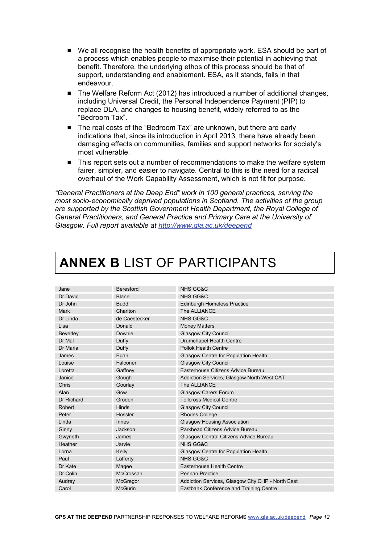- We all recognise the health benefits of appropriate work. ESA should be part of a process which enables people to maximise their potential in achieving that benefit. Therefore, the underlying ethos of this process should be that of support, understanding and enablement. ESA, as it stands, fails in that endeavour.
- The Welfare Reform Act (2012) has introduced a number of additional changes, including Universal Credit, the Personal Independence Payment (PIP) to replace DLA, and changes to housing benefit, widely referred to as the "Bedroom Tax".
- The real costs of the "Bedroom Tax" are unknown, but there are early indications that, since its introduction in April 2013, there have already been damaging effects on communities, families and support networks for society's most vulnerable.
- This report sets out a number of recommendations to make the welfare system fairer, simpler, and easier to navigate. Central to this is the need for a radical overhaul of the Work Capability Assessment, which is not fit for purpose.

*"General Practitioners at the Deep End" work in 100 general practices, serving the most socio-economically deprived populations in Scotland. The activities of the group are supported by the Scottish Government Health Department, the Royal College of General Practitioners, and General Practice and Primary Care at the University of Glasgow. Full report available at<http://www.gla.ac.uk/deepend>*

| Jane        | <b>Beresford</b> | NHS GG&C                                          |
|-------------|------------------|---------------------------------------------------|
| Dr David    | <b>Blane</b>     | <b>NHS GG&amp;C</b>                               |
| Dr John     | <b>Budd</b>      | <b>Edinburgh Homeless Practice</b>                |
| <b>Mark</b> | Charlton         | The ALLIANCE                                      |
| Dr Linda    | de Caestecker    | <b>NHS GG&amp;C</b>                               |
| Lisa        | Donald           | <b>Money Matters</b>                              |
| Beverley    | Downie           | <b>Glasgow City Council</b>                       |
| Dr Mal      | Duffy            | Drumchapel Health Centre                          |
| Dr Maria    | Duffy            | Pollok Health Centre                              |
| James       | Egan             | Glasgow Centre for Population Health              |
| Louise      | Falconer         | <b>Glasgow City Council</b>                       |
| Loretta     | Gaffney          | Easterhouse Citizens Advice Bureau                |
| Janice      | Gough            | Addiction Services, Glasgow North West CAT        |
| Chris       | Gourlay          | The ALLIANCE                                      |
| Alan        | Gow              | <b>Glasgow Carers Forum</b>                       |
| Dr Richard  | Groden           | <b>Tollcross Medical Centre</b>                   |
| Robert      | Hinds            | <b>Glasgow City Council</b>                       |
| Peter       | Hossler          | <b>Rhodes College</b>                             |
| Linda       | <b>Innes</b>     | <b>Glasgow Housing Association</b>                |
| Ginny       | Jackson          | Parkhead Citizens Advice Bureau                   |
| Gwyneth     | James            | Glasgow Central Citizens Advice Bureau            |
| Heather     | Jarvie           | <b>NHS GG&amp;C</b>                               |
| Lorna       | Kelly            | Glasgow Centre for Population Health              |
| Paul        | Lafferty         | <b>NHS GG&amp;C</b>                               |
| Dr Kate     | Magee            | Easterhouse Health Centre                         |
| Dr Colin    | McCrossan        | <b>Pennan Practice</b>                            |
| Audrey      | McGregor         | Addiction Services, Glasgow City CHP - North East |
| Carol       | <b>McGurin</b>   | Eastbank Conference and Training Centre           |

### <span id="page-15-0"></span>**ANNEX B** LIST OF PARTICIPANTS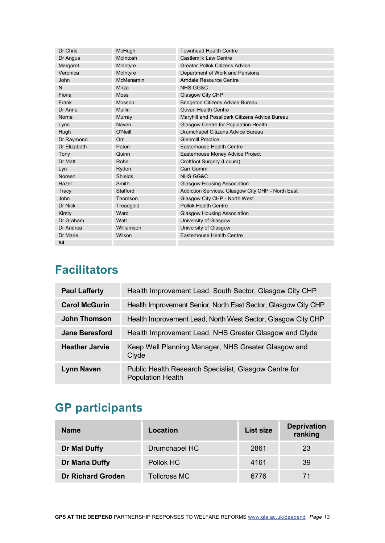| Dr Chris     | McHugh         | <b>Townhead Health Centre</b>                     |
|--------------|----------------|---------------------------------------------------|
| Dr Angus     | McIntosh       | Castlemilk Law Centre                             |
| Margaret     | McIntyre       | <b>Greater Pollok Citizens Advice</b>             |
| Veronica     | McIntyre       | Department of Work and Pensions                   |
| John         | McMenamin      | <b>Arndale Resource Centre</b>                    |
| N            | Mirza          | NHS GG&C                                          |
| Fiona        | <b>Moss</b>    | Glasgow City CHP                                  |
| Frank        | Mosson         | <b>Bridgeton Citizens Advice Bureau</b>           |
| Dr Anne      | <b>Mullin</b>  | Govan Health Centre                               |
| Norrie       | Murray         | Maryhill and Possilpark Citizens Advice Bureau    |
| Lynn         | Naven          | Glasgow Centre for Population Health              |
| Hugh         | O'Neill        | Drumchapel Citizens Advice Bureau                 |
| Dr Raymond   | Orr            | <b>Glenmill Practice</b>                          |
| Dr Elizabeth | Paton          | Easterhouse Health Centre                         |
| Tony         | Quinn          | Easterhouse Money Advice Project                  |
| Dr Matt      | Rohe           | Croftfoot Surgery (Locum)                         |
| Lyn          | Ryden          | Carr Gomm                                         |
| Noreen       | <b>Shields</b> | <b>NHS GG&amp;C</b>                               |
| Hazel        | Smith          | Glasgow Housing Association                       |
| Tracy        | Stafford       | Addiction Services, Glasgow City CHP - North East |
| <b>John</b>  | Thomson        | Glasgow City CHP - North West                     |
| Dr Nick      | Treadgold      | Pollok Health Centre                              |
| Kirsty       | Ward           | Glasgow Housing Association                       |
| Dr Graham    | Watt           | University of Glasgow                             |
| Dr Andrea    | Williamson     | University of Glasgow                             |
| Dr Marie     | Wilson         | Easterhouse Health Centre                         |
| 54           |                |                                                   |

### **Facilitators**

| <b>Paul Lafferty</b>  | Health Improvement Lead, South Sector, Glasgow City CHP                           |
|-----------------------|-----------------------------------------------------------------------------------|
| <b>Carol McGurin</b>  | Health Improvement Senior, North East Sector, Glasgow City CHP                    |
| <b>John Thomson</b>   | Health Improvement Lead, North West Sector, Glasgow City CHP                      |
| <b>Jane Beresford</b> | Health Improvement Lead, NHS Greater Glasgow and Clyde                            |
| <b>Heather Jarvie</b> | Keep Well Planning Manager, NHS Greater Glasgow and<br>Clyde                      |
| <b>Lynn Naven</b>     | Public Health Research Specialist, Glasgow Centre for<br><b>Population Health</b> |

### **GP participants**

| <b>Name</b>              | Location            | List size | <b>Deprivation</b><br>ranking |
|--------------------------|---------------------|-----------|-------------------------------|
| Dr Mal Duffy             | Drumchapel HC       | 2861      | 23                            |
| Dr Maria Duffy           | Pollok HC           | 4161      | 39                            |
| <b>Dr Richard Groden</b> | <b>Tollcross MC</b> | 6776      |                               |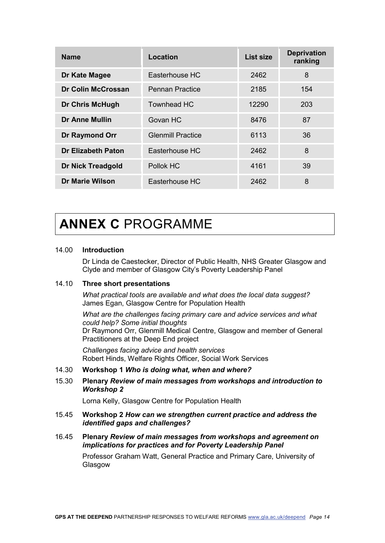| <b>Name</b>               | <b>Location</b>          | List size | <b>Deprivation</b><br>ranking |
|---------------------------|--------------------------|-----------|-------------------------------|
| Dr Kate Magee             | Easterhouse HC           | 2462      | 8                             |
| Dr Colin McCrossan        | <b>Pennan Practice</b>   | 2185      | 154                           |
| <b>Dr Chris McHugh</b>    | <b>Townhead HC</b>       | 12290     | 203                           |
| <b>Dr Anne Mullin</b>     | Govan HC                 | 8476      | 87                            |
| <b>Dr Raymond Orr</b>     | <b>Glenmill Practice</b> | 6113      | 36                            |
| <b>Dr Elizabeth Paton</b> | Easterhouse HC           | 2462      | 8                             |
| <b>Dr Nick Treadgold</b>  | Pollok HC                | 4161      | 39                            |
| <b>Dr Marie Wilson</b>    | Easterhouse HC           | 2462      | 8                             |

# <span id="page-17-0"></span>**ANNEX C** PROGRAMME

#### 14.00 **Introduction**

Dr Linda de Caestecker, Director of Public Health, NHS Greater Glasgow and Clyde and member of Glasgow City's Poverty Leadership Panel

#### 14.10 **Three short presentations**

*What practical tools are available and what does the local data suggest?* James Egan, Glasgow Centre for Population Health

*What are the challenges facing primary care and advice services and what could help? Some initial thoughts* Dr Raymond Orr, Glenmill Medical Centre, Glasgow and member of General Practitioners at the Deep End project

*Challenges facing advice and health services* Robert Hinds, Welfare Rights Officer, Social Work Services

#### 14.30 **Workshop 1** *Who is doing what, when and where?*

#### 15.30 **Plenary** *Review of main messages from workshops and introduction to Workshop 2*

Lorna Kelly, Glasgow Centre for Population Health

15.45 **Workshop 2** *How can we strengthen current practice and address the identified gaps and challenges?*

#### 16.45 **Plenary** *Review of main messages from workshops and agreement on implications for practices and for Poverty Leadership Panel*

Professor Graham Watt, General Practice and Primary Care, University of Glasgow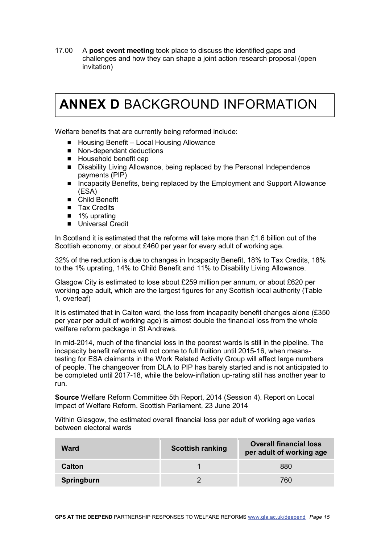17.00 A **post event meeting** took place to discuss the identified gaps and challenges and how they can shape a joint action research proposal (open invitation)

## <span id="page-18-0"></span>**ANNEX D** BACKGROUND INFORMATION

Welfare benefits that are currently being reformed include:

- $\blacksquare$  Housing Benefit Local Housing Allowance
- Non-dependant deductions
- Household benefit cap
- Disability Living Allowance, being replaced by the Personal Independence payments (PIP)
- Incapacity Benefits, being replaced by the Employment and Support Allowance (ESA)
- Child Benefit
- **Tax Credits**
- 1% uprating
- **Universal Credit**

In Scotland it is estimated that the reforms will take more than £1.6 billion out of the Scottish economy, or about £460 per year for every adult of working age.

32% of the reduction is due to changes in Incapacity Benefit, 18% to Tax Credits, 18% to the 1% uprating, 14% to Child Benefit and 11% to Disability Living Allowance.

Glasgow City is estimated to lose about £259 million per annum, or about £620 per working age adult, which are the largest figures for any Scottish local authority (Table 1, overleaf)

It is estimated that in Calton ward, the loss from incapacity benefit changes alone (£350 per year per adult of working age) is almost double the financial loss from the whole welfare reform package in St Andrews.

In mid-2014, much of the financial loss in the poorest wards is still in the pipeline. The incapacity benefit reforms will not come to full fruition until 2015-16, when meanstesting for ESA claimants in the Work Related Activity Group will affect large numbers of people. The changeover from DLA to PIP has barely started and is not anticipated to be completed until 2017-18, while the below-inflation up-rating still has another year to run.

**Source** Welfare Reform Committee 5th Report, 2014 (Session 4). Report on Local Impact of Welfare Reform. Scottish Parliament, 23 June 2014

Within Glasgow, the estimated overall financial loss per adult of working age varies between electoral wards

| Ward       | <b>Scottish ranking</b> | <b>Overall financial loss</b><br>per adult of working age |
|------------|-------------------------|-----------------------------------------------------------|
| Calton     |                         | 880                                                       |
| Springburn |                         | 760                                                       |